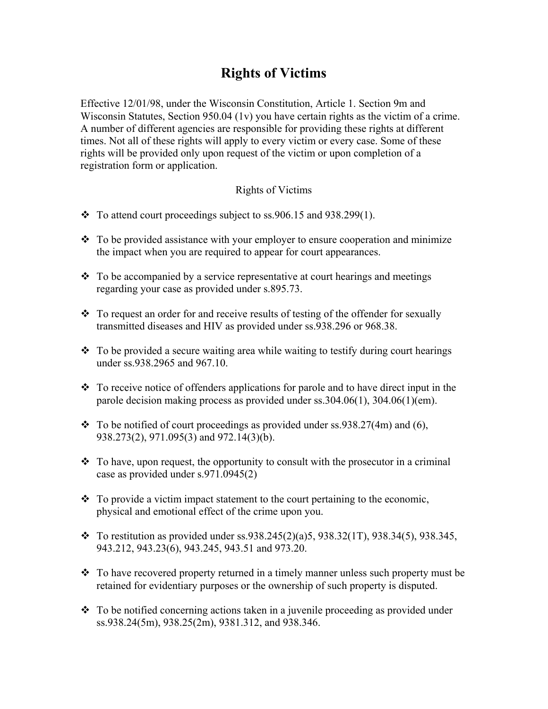## **Rights of Victims**

Effective 12/01/98, under the Wisconsin Constitution, Article 1. Section 9m and Wisconsin Statutes, Section 950.04 (1v) you have certain rights as the victim of a crime. A number of different agencies are responsible for providing these rights at different times. Not all of these rights will apply to every victim or every case. Some of these rights will be provided only upon request of the victim or upon completion of a registration form or application.

## Rights of Victims

- $\div$  To attend court proceedings subject to ss. 906.15 and 938.299(1).
- $\div$  To be provided assistance with your employer to ensure cooperation and minimize the impact when you are required to appear for court appearances.
- $\div$  To be accompanied by a service representative at court hearings and meetings regarding your case as provided under s.895.73.
- To request an order for and receive results of testing of the offender for sexually transmitted diseases and HIV as provided under ss.938.296 or 968.38.
- $\cdot$  To be provided a secure waiting area while waiting to testify during court hearings under ss.938.2965 and 967.10.
- $\cdot \cdot$  To receive notice of offenders applications for parole and to have direct input in the parole decision making process as provided under ss.304.06(1), 304.06(1)(em).
- $\div$  To be notified of court proceedings as provided under ss.938.27(4m) and (6), 938.273(2), 971.095(3) and 972.14(3)(b).
- $\cdot$  To have, upon request, the opportunity to consult with the prosecutor in a criminal case as provided under s.971.0945(2)
- $\div$  To provide a victim impact statement to the court pertaining to the economic, physical and emotional effect of the crime upon you.
- $\bullet$  To restitution as provided under ss.938.245(2)(a)5, 938.32(1T), 938.34(5), 938.345, 943.212, 943.23(6), 943.245, 943.51 and 973.20.
- To have recovered property returned in a timely manner unless such property must be retained for evidentiary purposes or the ownership of such property is disputed.
- To be notified concerning actions taken in a juvenile proceeding as provided under ss.938.24(5m), 938.25(2m), 9381.312, and 938.346.